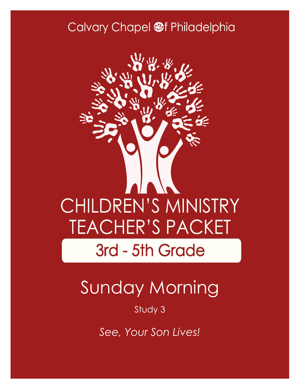## Calvary Chapel @f Philadelphia



# Sunday Morning

#### Study 3

*See, Your Son Lives!*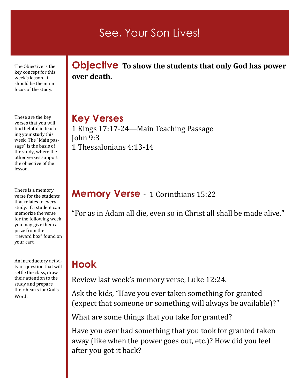## See, Your Son Lives!

The Objective is the key concept for this week's lesson. It should be the main focus of the study.

These are the key verses that you will find helpful in teaching your study this week. The "Main passage" is the basis of the study, where the other verses support the objective of the lesson.

There is a memory verse for the students that relates to every study. If a student can memorize the verse for the following week you may give them a prize from the "reward box" found on your cart.

An introductory activity or question that will settle the class, draw their attention to the study and prepare their hearts for God's Word.

**Objective To show the students that only God has power over death.** 

### **Key Verses**

1 Kings 17:17-24—Main Teaching Passage John 9:3 1 Thessalonians 4:13-14

#### **Memory Verse** - 1 Corinthians 15:22

"For as in Adam all die, even so in Christ all shall be made alive."

### **Hook**

Review last week's memory verse, Luke 12:24.

Ask the kids, "Have you ever taken something for granted (expect that someone or something will always be available)?"

What are some things that you take for granted?

Have you ever had something that you took for granted taken away (like when the power goes out, etc.)? How did you feel after you got it back?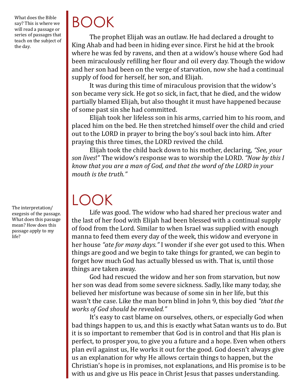What does the Bible say? This is where we will read a passage or series of passages that teach on the subject of the day.

The interpretation/ exegesis of the passage. What does this passage mean? How does this passage apply to my life?

# BOOK

The prophet Elijah was an outlaw. He had declared a drought to King Ahab and had been in hiding ever since. First he hid at the brook where he was fed by ravens, and then at a widow's house where God had been miraculously refilling her flour and oil every day. Though the widow and her son had been on the verge of starvation, now she had a continual supply of food for herself, her son, and Elijah.

It was during this time of miraculous provision that the widow's son became very sick. He got so sick, in fact, that he died, and the widow partially blamed Elijah, but also thought it must have happened because of some past sin she had committed.

Elijah took her lifeless son in his arms, carried him to his room, and placed him on the bed. He then stretched himself over the child and cried out to the LORD in prayer to bring the boy's soul back into him. After praying this three times, the LORD revived the child.

Elijah took the child back down to his mother, declaring, *"See, your son lives*!" The widow's response was to worship the LORD. *"Now by this I know that you are a man of God, and that the word of the LORD in your mouth is the truth."*

# LOOK

Life was good. The widow who had shared her precious water and the last of her food with Elijah had been blessed with a continual supply of food from the Lord. Similar to when Israel was supplied with enough manna to feed them every day of the week, this widow and everyone in her house *"ate for many days."* I wonder if she ever got used to this. When things are good and we begin to take things for granted, we can begin to forget how much God has actually blessed us with. That is, until those things are taken away.

God had rescued the widow and her son from starvation, but now her son was dead from some severe sickness. Sadly, like many today, she believed her misfortune was because of some sin in her life, but this wasn't the case. Like the man born blind in John 9, this boy died *"that the works of God should be revealed."* 

It's easy to cast blame on ourselves, others, or especially God when bad things happen to us, and this is exactly what Satan wants us to do. But it is so important to remember that God is in control and that His plan is perfect, to prosper you, to give you a future and a hope. Even when others plan evil against us, He works it out for the good. God doesn't always give us an explanation for why He allows certain things to happen, but the Christian's hope is in promises, not explanations, and His promise is to be with us and give us His peace in Christ Jesus that passes understanding.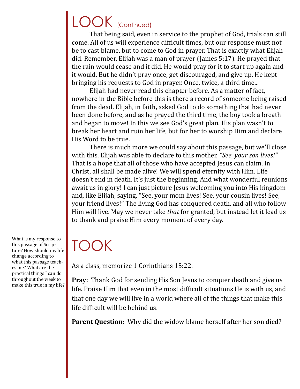## LOOK (Continued)

That being said, even in service to the prophet of God, trials can still come. All of us will experience difficult times, but our response must not be to cast blame, but to come to God in prayer. That is exactly what Elijah did. Remember, Elijah was a man of prayer (James 5:17). He prayed that the rain would cease and it did. He would pray for it to start up again and it would. But he didn't pray once, get discouraged, and give up. He kept bringing his requests to God in prayer. Once, twice, a third time...

Elijah had never read this chapter before. As a matter of fact, nowhere in the Bible before this is there a record of someone being raised from the dead. Elijah, in faith, asked God to do something that had never been done before, and as he prayed the third time, the boy took a breath and began to move! In this we see God's great plan. His plan wasn't to break her heart and ruin her life, but for her to worship Him and declare His Word to be true.

There is much more we could say about this passage, but we'll close with this. Elijah was able to declare to this mother, *"See, your son lives!"*  That is a hope that all of those who have accepted Jesus can claim. In Christ, all shall be made alive! We will spend eternity with Him. Life doesn't end in death. It's just the beginning. And what wonderful reunions await us in glory! I can just picture Jesus welcoming you into His kingdom and, like Elijah, saying, "See, your mom lives! See, your cousin lives! See, your friend lives!" The living God has conquered death, and all who follow Him will live. May we never take *that* for granted, but instead let it lead us to thank and praise Him every moment of every day.

## TOOK

As a class, memorize 1 Corinthians 15:22.

**Pray:** Thank God for sending His Son Jesus to conquer death and give us life. Praise Him that even in the most difficult situations He is with us, and that one day we will live in a world where all of the things that make this life difficult will be behind us.

**Parent Question:** Why did the widow blame herself after her son died?

What is my response to this passage of Scripture? How should my life change according to what this passage teaches me? What are the practical things I can do throughout the week to make this true in my life?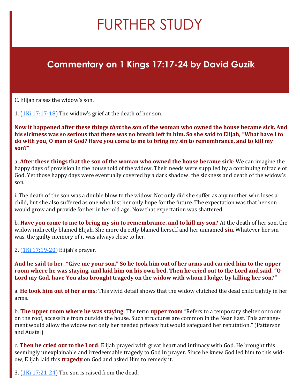## FURTHER STUDY

#### **Commentary on 1 Kings 17:17-24 by David Guzik**

C. Elijah raises the widow's son.

1.  $(1K<sub>i</sub> 17:17-18)$  The widow's grief at the death of her son.

**Now it happened after these things** *that* **the son of the woman who owned the house became sick. And his sickness was so serious that there was no breath left in him. So she said to Elijah, "What have I to do with you, O man of God? Have you come to me to bring my sin to remembrance, and to kill my son?"**

a. **After these things that the son of the woman who owned the house became sick**: We can imagine the happy days of provision in the household of the widow. Their needs were supplied by a continuing miracle of God. Yet those happy days were eventually covered by a dark shadow: the sickness and death of the widow's son.

i. The death of the son was a double blow to the widow. Not only did she suffer as any mother who loses a child, but she also suffered as one who lost her only hope for the future. The expectation was that her son would grow and provide for her in her old age. Now that expectation was shattered.

b. **Have you come to me to bring my sin to remembrance, and to kill my son?** At the death of her son, the widow indirectly blamed Elijah. She more directly blamed herself and her unnamed **sin**. Whatever her sin was, the guilty memory of it was always close to her.

2. [\(1Ki 17:19](https://www.blueletterbible.org/kjv/1kings/17/19-20/s_308019)-20) Elijah's prayer.

**And he said to her, "Give me your son." So he took him out of her arms and carried him to the upper room where he was staying, and laid him on his own bed. Then he cried out to the Lord and said, "O Lord my God, have You also brought tragedy on the widow with whom I lodge, by killing her son?"**

a. **He took him out of her arms**: This vivid detail shows that the widow clutched the dead child tightly in her arms.

b. **The upper room where he was staying**: The term **upper room** "Refers to a temporary shelter or room on the roof, accessible from outside the house. Such structures are common in the Near East. This arrangement would allow the widow not only her needed privacy but would safeguard her reputation." (Patterson and Austel)

c. **Then he cried out to the Lord**: Elijah prayed with great heart and intimacy with God. He brought this seemingly unexplainable and irredeemable tragedy to God in prayer. Since he knew God led him to this widow, Elijah laid this **tragedy** on God and asked Him to remedy it.

3.  $(1$ Ki  $17:21-24)$  The son is raised from the dead.